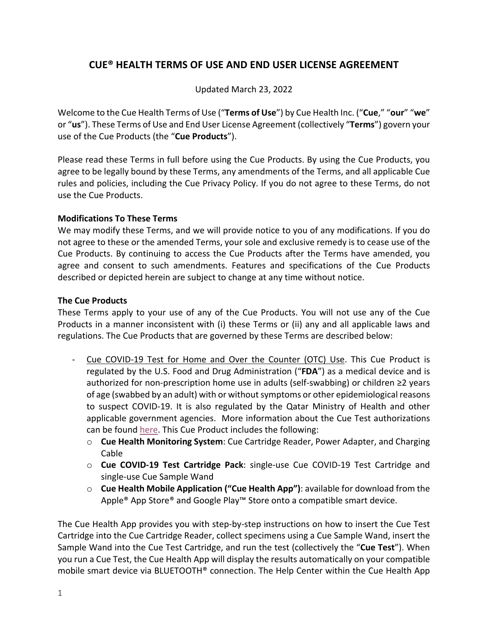# **CUE® HEALTH TERMS OF USE AND END USER LICENSE AGREEMENT**

Updated March 23, 2022

Welcome to the Cue Health Terms of Use ("**Terms of Use**") by Cue Health Inc. ("**Cue**," "**our**" "**we**" or "**us**"). These Terms of Use and End User License Agreement (collectively "**Terms**") govern your use of the Cue Products (the "**Cue Products**").

Please read these Terms in full before using the Cue Products. By using the Cue Products, you agree to be legally bound by these Terms, any amendments of the Terms, and all applicable Cue rules and policies, including the Cue Privacy Policy. If you do not agree to these Terms, do not use the Cue Products.

# **Modifications To These Terms**

We may modify these Terms, and we will provide notice to you of any modifications. If you do not agree to these or the amended Terms, your sole and exclusive remedy is to cease use of the Cue Products. By continuing to access the Cue Products after the Terms have amended, you agree and consent to such amendments. Features and specifications of the Cue Products described or depicted herein are subject to change at any time without notice.

# **The Cue Products**

These Terms apply to your use of any of the Cue Products. You will not use any of the Cue Products in a manner inconsistent with (i) these Terms or (ii) any and all applicable laws and regulations. The Cue Products that are governed by these Terms are described below:

- Cue COVID-19 Test for Home and Over the Counter (OTC) Use. This Cue Product is regulated by the U.S. Food and Drug Administration ("**FDA**") as a medical device and is authorized for non-prescription home use in adults (self-swabbing) or children ≥2 years of age (swabbed by an adult) with or without symptoms or other epidemiological reasons to suspect COVID-19. It is also regulated by the Qatar Ministry of Health and other applicable government agencies. More information about the Cue Test authorizations can be found here. This Cue Product includes the following:
	- o **Cue Health Monitoring System**: Cue Cartridge Reader, Power Adapter, and Charging Cable
	- o **Cue COVID-19 Test Cartridge Pack**: single-use Cue COVID-19 Test Cartridge and single-use Cue Sample Wand
	- o **Cue Health Mobile Application ("Cue Health App")**: available for download from the Apple<sup>®</sup> App Store<sup>®</sup> and Google Play™ Store onto a compatible smart device.

The Cue Health App provides you with step-by-step instructions on how to insert the Cue Test Cartridge into the Cue Cartridge Reader, collect specimens using a Cue Sample Wand, insert the Sample Wand into the Cue Test Cartridge, and run the test (collectively the "**Cue Test**"). When you run a Cue Test, the Cue Health App will display the results automatically on your compatible mobile smart device via BLUETOOTH® connection. The Help Center within the Cue Health App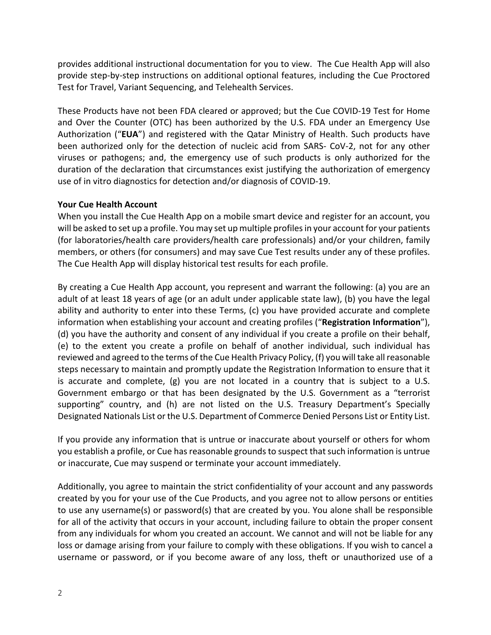provides additional instructional documentation for you to view. The Cue Health App will also provide step-by-step instructions on additional optional features, including the Cue Proctored Test for Travel, Variant Sequencing, and Telehealth Services.

These Products have not been FDA cleared or approved; but the Cue COVID-19 Test for Home and Over the Counter (OTC) has been authorized by the U.S. FDA under an Emergency Use Authorization ("**EUA**") and registered with the Qatar Ministry of Health. Such products have been authorized only for the detection of nucleic acid from SARS- CoV-2, not for any other viruses or pathogens; and, the emergency use of such products is only authorized for the duration of the declaration that circumstances exist justifying the authorization of emergency use of in vitro diagnostics for detection and/or diagnosis of COVID-19.

#### **Your Cue Health Account**

When you install the Cue Health App on a mobile smart device and register for an account, you will be asked to set up a profile. You may set up multiple profiles in your account for your patients (for laboratories/health care providers/health care professionals) and/or your children, family members, or others (for consumers) and may save Cue Test results under any of these profiles. The Cue Health App will display historical test results for each profile.

By creating a Cue Health App account, you represent and warrant the following: (a) you are an adult of at least 18 years of age (or an adult under applicable state law), (b) you have the legal ability and authority to enter into these Terms, (c) you have provided accurate and complete information when establishing your account and creating profiles ("**Registration Information**"), (d) you have the authority and consent of any individual if you create a profile on their behalf, (e) to the extent you create a profile on behalf of another individual, such individual has reviewed and agreed to the terms of the Cue Health Privacy Policy, (f) you will take all reasonable steps necessary to maintain and promptly update the Registration Information to ensure that it is accurate and complete,  $(g)$  you are not located in a country that is subject to a U.S. Government embargo or that has been designated by the U.S. Government as a "terrorist supporting" country, and (h) are not listed on the U.S. Treasury Department's Specially Designated Nationals List or the U.S. Department of Commerce Denied Persons List or Entity List.

If you provide any information that is untrue or inaccurate about yourself or others for whom you establish a profile, or Cue has reasonable grounds to suspect that such information is untrue or inaccurate, Cue may suspend or terminate your account immediately.

Additionally, you agree to maintain the strict confidentiality of your account and any passwords created by you for your use of the Cue Products, and you agree not to allow persons or entities to use any username(s) or password(s) that are created by you. You alone shall be responsible for all of the activity that occurs in your account, including failure to obtain the proper consent from any individuals for whom you created an account. We cannot and will not be liable for any loss or damage arising from your failure to comply with these obligations. If you wish to cancel a username or password, or if you become aware of any loss, theft or unauthorized use of a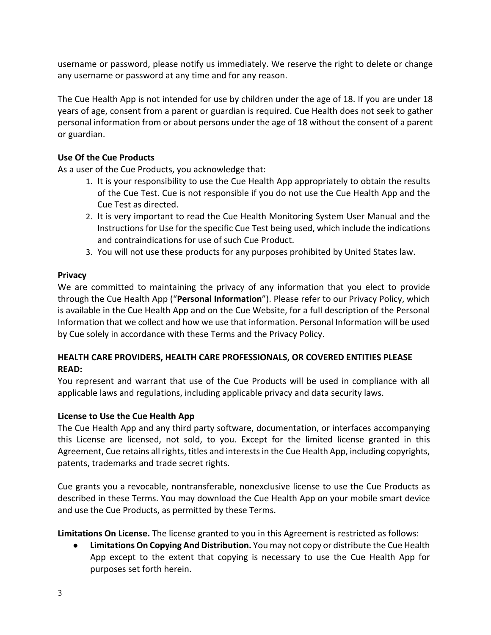username or password, please notify us immediately. We reserve the right to delete or change any username or password at any time and for any reason.

The Cue Health App is not intended for use by children under the age of 18. If you are under 18 years of age, consent from a parent or guardian is required. Cue Health does not seek to gather personal information from or about persons under the age of 18 without the consent of a parent or guardian.

# **Use Of the Cue Products**

As a user of the Cue Products, you acknowledge that:

- 1. It is your responsibility to use the Cue Health App appropriately to obtain the results of the Cue Test. Cue is not responsible if you do not use the Cue Health App and the Cue Test as directed.
- 2. It is very important to read the Cue Health Monitoring System User Manual and the Instructions for Use for the specific Cue Test being used, which include the indications and contraindications for use of such Cue Product.
- 3. You will not use these products for any purposes prohibited by United States law.

# **Privacy**

We are committed to maintaining the privacy of any information that you elect to provide through the Cue Health App ("**Personal Information**"). Please refer to our Privacy Policy, which is available in the Cue Health App and on the Cue Website, for a full description of the Personal Information that we collect and how we use that information. Personal Information will be used by Cue solely in accordance with these Terms and the Privacy Policy.

# **HEALTH CARE PROVIDERS, HEALTH CARE PROFESSIONALS, OR COVERED ENTITIES PLEASE READ:**

You represent and warrant that use of the Cue Products will be used in compliance with all applicable laws and regulations, including applicable privacy and data security laws.

# **License to Use the Cue Health App**

The Cue Health App and any third party software, documentation, or interfaces accompanying this License are licensed, not sold, to you. Except for the limited license granted in this Agreement, Cue retains all rights, titles and interestsin the Cue Health App, including copyrights, patents, trademarks and trade secret rights.

Cue grants you a revocable, nontransferable, nonexclusive license to use the Cue Products as described in these Terms. You may download the Cue Health App on your mobile smart device and use the Cue Products, as permitted by these Terms.

**Limitations On License.** The license granted to you in this Agreement is restricted as follows:

**● LimitationsOn Copying And Distribution.** You may not copy or distribute the Cue Health App except to the extent that copying is necessary to use the Cue Health App for purposes set forth herein.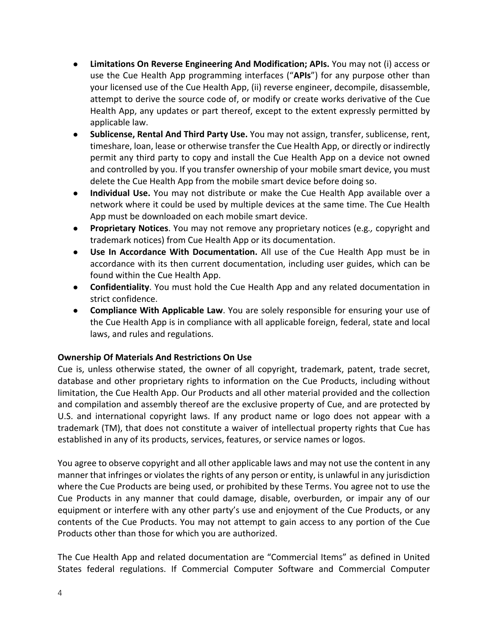- **● Limitations On Reverse Engineering And Modification; APIs.** You may not (i) access or use the Cue Health App programming interfaces ("**APIs**") for any purpose other than your licensed use of the Cue Health App, (ii) reverse engineer, decompile, disassemble, attempt to derive the source code of, or modify or create works derivative of the Cue Health App, any updates or part thereof, except to the extent expressly permitted by applicable law.
- **● Sublicense, Rental And Third Party Use.** You may not assign, transfer, sublicense, rent, timeshare, loan, lease or otherwise transfer the Cue Health App, or directly or indirectly permit any third party to copy and install the Cue Health App on a device not owned and controlled by you. If you transfer ownership of your mobile smart device, you must delete the Cue Health App from the mobile smart device before doing so.
- **● Individual Use.** You may not distribute or make the Cue Health App available over a network where it could be used by multiple devices at the same time. The Cue Health App must be downloaded on each mobile smart device.
- **● Proprietary Notices**. You may not remove any proprietary notices (e.g*.,* copyright and trademark notices) from Cue Health App or its documentation.
- **● Use In Accordance With Documentation.** All use of the Cue Health App must be in accordance with its then current documentation, including user guides, which can be found within the Cue Health App.
- **● Confidentiality**. You must hold the Cue Health App and any related documentation in strict confidence.
- **● Compliance With Applicable Law**. You are solely responsible for ensuring your use of the Cue Health App is in compliance with all applicable foreign, federal, state and local laws, and rules and regulations.

#### **Ownership Of Materials And Restrictions On Use**

Cue is, unless otherwise stated, the owner of all copyright, trademark, patent, trade secret, database and other proprietary rights to information on the Cue Products, including without limitation, the Cue Health App. Our Products and all other material provided and the collection and compilation and assembly thereof are the exclusive property of Cue, and are protected by U.S. and international copyright laws. If any product name or logo does not appear with a trademark (TM), that does not constitute a waiver of intellectual property rights that Cue has established in any of its products, services, features, or service names or logos.

You agree to observe copyright and all other applicable laws and may not use the content in any manner that infringes or violates the rights of any person or entity, is unlawful in any jurisdiction where the Cue Products are being used, or prohibited by these Terms. You agree not to use the Cue Products in any manner that could damage, disable, overburden, or impair any of our equipment or interfere with any other party's use and enjoyment of the Cue Products, or any contents of the Cue Products. You may not attempt to gain access to any portion of the Cue Products other than those for which you are authorized.

The Cue Health App and related documentation are "Commercial Items" as defined in United States federal regulations. If Commercial Computer Software and Commercial Computer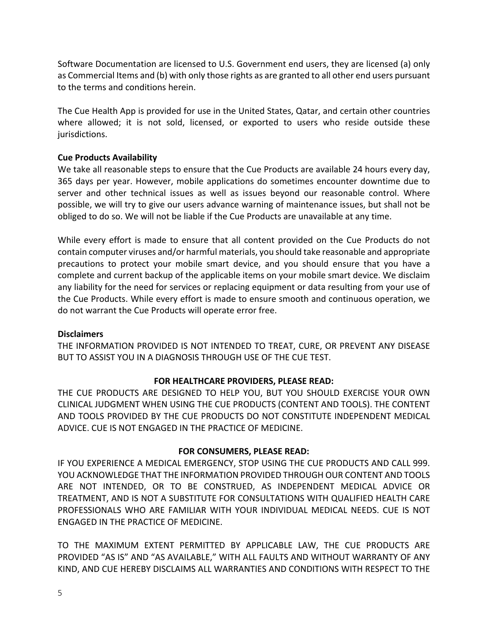Software Documentation are licensed to U.S. Government end users, they are licensed (a) only as Commercial Items and (b) with only those rights as are granted to all other end users pursuant to the terms and conditions herein.

The Cue Health App is provided for use in the United States, Qatar, and certain other countries where allowed; it is not sold, licensed, or exported to users who reside outside these jurisdictions.

# **Cue Products Availability**

We take all reasonable steps to ensure that the Cue Products are available 24 hours every day, 365 days per year. However, mobile applications do sometimes encounter downtime due to server and other technical issues as well as issues beyond our reasonable control. Where possible, we will try to give our users advance warning of maintenance issues, but shall not be obliged to do so. We will not be liable if the Cue Products are unavailable at any time.

While every effort is made to ensure that all content provided on the Cue Products do not contain computer viruses and/or harmful materials, you should take reasonable and appropriate precautions to protect your mobile smart device, and you should ensure that you have a complete and current backup of the applicable items on your mobile smart device. We disclaim any liability for the need for services or replacing equipment or data resulting from your use of the Cue Products. While every effort is made to ensure smooth and continuous operation, we do not warrant the Cue Products will operate error free.

#### **Disclaimers**

THE INFORMATION PROVIDED IS NOT INTENDED TO TREAT, CURE, OR PREVENT ANY DISEASE BUT TO ASSIST YOU IN A DIAGNOSIS THROUGH USE OF THE CUE TEST.

#### **FOR HEALTHCARE PROVIDERS, PLEASE READ:**

THE CUE PRODUCTS ARE DESIGNED TO HELP YOU, BUT YOU SHOULD EXERCISE YOUR OWN CLINICAL JUDGMENT WHEN USING THE CUE PRODUCTS (CONTENT AND TOOLS). THE CONTENT AND TOOLS PROVIDED BY THE CUE PRODUCTS DO NOT CONSTITUTE INDEPENDENT MEDICAL ADVICE. CUE IS NOT ENGAGED IN THE PRACTICE OF MEDICINE.

#### **FOR CONSUMERS, PLEASE READ:**

IF YOU EXPERIENCE A MEDICAL EMERGENCY, STOP USING THE CUE PRODUCTS AND CALL 999. YOU ACKNOWLEDGE THAT THE INFORMATION PROVIDED THROUGH OUR CONTENT AND TOOLS ARE NOT INTENDED, OR TO BE CONSTRUED, AS INDEPENDENT MEDICAL ADVICE OR TREATMENT, AND IS NOT A SUBSTITUTE FOR CONSULTATIONS WITH QUALIFIED HEALTH CARE PROFESSIONALS WHO ARE FAMILIAR WITH YOUR INDIVIDUAL MEDICAL NEEDS. CUE IS NOT ENGAGED IN THE PRACTICE OF MEDICINE.

TO THE MAXIMUM EXTENT PERMITTED BY APPLICABLE LAW, THE CUE PRODUCTS ARE PROVIDED "AS IS" AND "AS AVAILABLE," WITH ALL FAULTS AND WITHOUT WARRANTY OF ANY KIND, AND CUE HEREBY DISCLAIMS ALL WARRANTIES AND CONDITIONS WITH RESPECT TO THE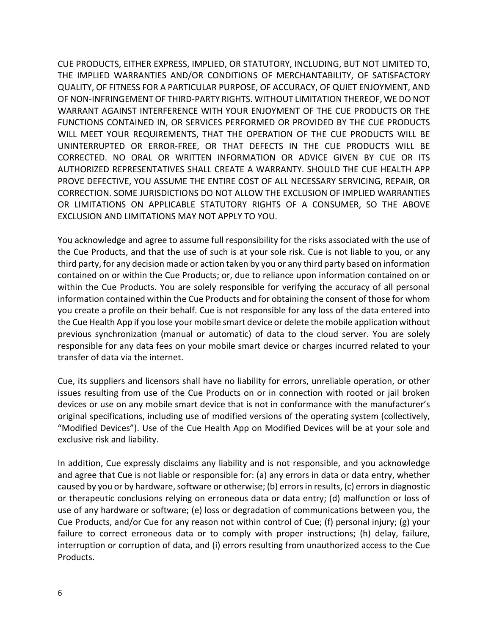CUE PRODUCTS, EITHER EXPRESS, IMPLIED, OR STATUTORY, INCLUDING, BUT NOT LIMITED TO, THE IMPLIED WARRANTIES AND/OR CONDITIONS OF MERCHANTABILITY, OF SATISFACTORY QUALITY, OF FITNESS FOR A PARTICULAR PURPOSE, OF ACCURACY, OF QUIET ENJOYMENT, AND OF NON-INFRINGEMENT OF THIRD-PARTY RIGHTS. WITHOUT LIMITATION THEREOF, WE DO NOT WARRANT AGAINST INTERFERENCE WITH YOUR ENJOYMENT OF THE CUE PRODUCTS OR THE FUNCTIONS CONTAINED IN, OR SERVICES PERFORMED OR PROVIDED BY THE CUE PRODUCTS WILL MEET YOUR REQUIREMENTS, THAT THE OPERATION OF THE CUE PRODUCTS WILL BE UNINTERRUPTED OR ERROR-FREE, OR THAT DEFECTS IN THE CUE PRODUCTS WILL BE CORRECTED. NO ORAL OR WRITTEN INFORMATION OR ADVICE GIVEN BY CUE OR ITS AUTHORIZED REPRESENTATIVES SHALL CREATE A WARRANTY. SHOULD THE CUE HEALTH APP PROVE DEFECTIVE, YOU ASSUME THE ENTIRE COST OF ALL NECESSARY SERVICING, REPAIR, OR CORRECTION. SOME JURISDICTIONS DO NOT ALLOW THE EXCLUSION OF IMPLIED WARRANTIES OR LIMITATIONS ON APPLICABLE STATUTORY RIGHTS OF A CONSUMER, SO THE ABOVE EXCLUSION AND LIMITATIONS MAY NOT APPLY TO YOU.

You acknowledge and agree to assume full responsibility for the risks associated with the use of the Cue Products, and that the use of such is at your sole risk. Cue is not liable to you, or any third party, for any decision made or action taken by you or any third party based on information contained on or within the Cue Products; or, due to reliance upon information contained on or within the Cue Products. You are solely responsible for verifying the accuracy of all personal information contained within the Cue Products and for obtaining the consent of those for whom you create a profile on their behalf. Cue is not responsible for any loss of the data entered into the Cue Health App if you lose your mobile smart device or delete the mobile application without previous synchronization (manual or automatic) of data to the cloud server. You are solely responsible for any data fees on your mobile smart device or charges incurred related to your transfer of data via the internet.

Cue, its suppliers and licensors shall have no liability for errors, unreliable operation, or other issues resulting from use of the Cue Products on or in connection with rooted or jail broken devices or use on any mobile smart device that is not in conformance with the manufacturer's original specifications, including use of modified versions of the operating system (collectively, "Modified Devices"). Use of the Cue Health App on Modified Devices will be at your sole and exclusive risk and liability.

In addition, Cue expressly disclaims any liability and is not responsible, and you acknowledge and agree that Cue is not liable or responsible for: (a) any errors in data or data entry, whether caused by you or by hardware, software or otherwise; (b) errors in results, (c) errors in diagnostic or therapeutic conclusions relying on erroneous data or data entry; (d) malfunction or loss of use of any hardware or software; (e) loss or degradation of communications between you, the Cue Products, and/or Cue for any reason not within control of Cue; (f) personal injury; (g) your failure to correct erroneous data or to comply with proper instructions; (h) delay, failure, interruption or corruption of data, and (i) errors resulting from unauthorized access to the Cue Products.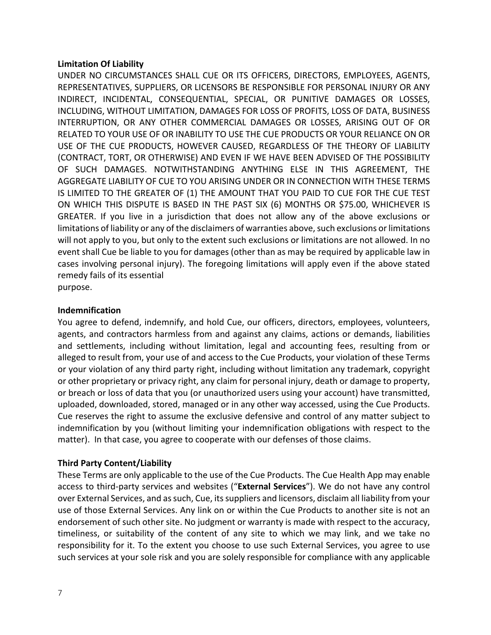#### **Limitation Of Liability**

UNDER NO CIRCUMSTANCES SHALL CUE OR ITS OFFICERS, DIRECTORS, EMPLOYEES, AGENTS, REPRESENTATIVES, SUPPLIERS, OR LICENSORS BE RESPONSIBLE FOR PERSONAL INJURY OR ANY INDIRECT, INCIDENTAL, CONSEQUENTIAL, SPECIAL, OR PUNITIVE DAMAGES OR LOSSES, INCLUDING, WITHOUT LIMITATION, DAMAGES FOR LOSS OF PROFITS, LOSS OF DATA, BUSINESS INTERRUPTION, OR ANY OTHER COMMERCIAL DAMAGES OR LOSSES, ARISING OUT OF OR RELATED TO YOUR USE OF OR INABILITY TO USE THE CUE PRODUCTS OR YOUR RELIANCE ON OR USE OF THE CUE PRODUCTS, HOWEVER CAUSED, REGARDLESS OF THE THEORY OF LIABILITY (CONTRACT, TORT, OR OTHERWISE) AND EVEN IF WE HAVE BEEN ADVISED OF THE POSSIBILITY OF SUCH DAMAGES. NOTWITHSTANDING ANYTHING ELSE IN THIS AGREEMENT, THE AGGREGATE LIABILITY OF CUE TO YOU ARISING UNDER OR IN CONNECTION WITH THESE TERMS IS LIMITED TO THE GREATER OF (1) THE AMOUNT THAT YOU PAID TO CUE FOR THE CUE TEST ON WHICH THIS DISPUTE IS BASED IN THE PAST SIX (6) MONTHS OR \$75.00, WHICHEVER IS GREATER. If you live in a jurisdiction that does not allow any of the above exclusions or limitations of liability or any of the disclaimers of warranties above, such exclusions or limitations will not apply to you, but only to the extent such exclusions or limitations are not allowed. In no event shall Cue be liable to you for damages (other than as may be required by applicable law in cases involving personal injury). The foregoing limitations will apply even if the above stated remedy fails of its essential

purpose.

#### **Indemnification**

You agree to defend, indemnify, and hold Cue, our officers, directors, employees, volunteers, agents, and contractors harmless from and against any claims, actions or demands, liabilities and settlements, including without limitation, legal and accounting fees, resulting from or alleged to result from, your use of and access to the Cue Products, your violation of these Terms or your violation of any third party right, including without limitation any trademark, copyright or other proprietary or privacy right, any claim for personal injury, death or damage to property, or breach or loss of data that you (or unauthorized users using your account) have transmitted, uploaded, downloaded, stored, managed or in any other way accessed, using the Cue Products. Cue reserves the right to assume the exclusive defensive and control of any matter subject to indemnification by you (without limiting your indemnification obligations with respect to the matter). In that case, you agree to cooperate with our defenses of those claims.

#### **Third Party Content/Liability**

These Terms are only applicable to the use of the Cue Products. The Cue Health App may enable access to third-party services and websites ("**External Services**"). We do not have any control over External Services, and as such, Cue, its suppliers and licensors, disclaim all liability from your use of those External Services. Any link on or within the Cue Products to another site is not an endorsement of such other site. No judgment or warranty is made with respect to the accuracy, timeliness, or suitability of the content of any site to which we may link, and we take no responsibility for it. To the extent you choose to use such External Services, you agree to use such services at your sole risk and you are solely responsible for compliance with any applicable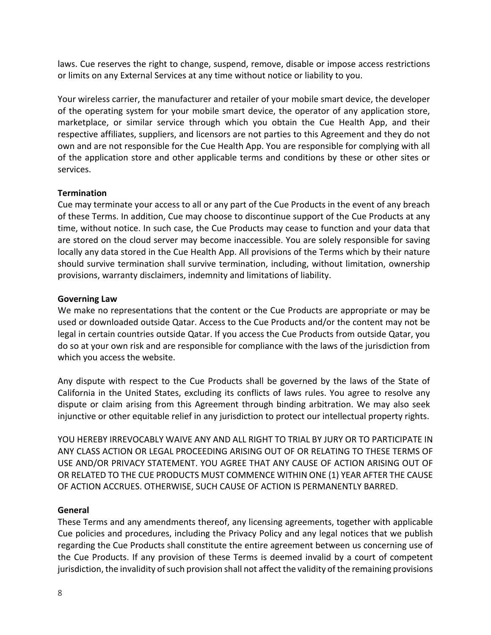laws. Cue reserves the right to change, suspend, remove, disable or impose access restrictions or limits on any External Services at any time without notice or liability to you.

Your wireless carrier, the manufacturer and retailer of your mobile smart device, the developer of the operating system for your mobile smart device, the operator of any application store, marketplace, or similar service through which you obtain the Cue Health App, and their respective affiliates, suppliers, and licensors are not parties to this Agreement and they do not own and are not responsible for the Cue Health App. You are responsible for complying with all of the application store and other applicable terms and conditions by these or other sites or services.

#### **Termination**

Cue may terminate your access to all or any part of the Cue Products in the event of any breach of these Terms. In addition, Cue may choose to discontinue support of the Cue Products at any time, without notice. In such case, the Cue Products may cease to function and your data that are stored on the cloud server may become inaccessible. You are solely responsible for saving locally any data stored in the Cue Health App. All provisions of the Terms which by their nature should survive termination shall survive termination, including, without limitation, ownership provisions, warranty disclaimers, indemnity and limitations of liability.

# **Governing Law**

We make no representations that the content or the Cue Products are appropriate or may be used or downloaded outside Qatar. Access to the Cue Products and/or the content may not be legal in certain countries outside Qatar. If you access the Cue Products from outside Qatar, you do so at your own risk and are responsible for compliance with the laws of the jurisdiction from which you access the website.

Any dispute with respect to the Cue Products shall be governed by the laws of the State of California in the United States, excluding its conflicts of laws rules. You agree to resolve any dispute or claim arising from this Agreement through binding arbitration. We may also seek injunctive or other equitable relief in any jurisdiction to protect our intellectual property rights.

YOU HEREBY IRREVOCABLY WAIVE ANY AND ALL RIGHT TO TRIAL BY JURY OR TO PARTICIPATE IN ANY CLASS ACTION OR LEGAL PROCEEDING ARISING OUT OF OR RELATING TO THESE TERMS OF USE AND/OR PRIVACY STATEMENT. YOU AGREE THAT ANY CAUSE OF ACTION ARISING OUT OF OR RELATED TO THE CUE PRODUCTS MUST COMMENCE WITHIN ONE (1) YEAR AFTER THE CAUSE OF ACTION ACCRUES. OTHERWISE, SUCH CAUSE OF ACTION IS PERMANENTLY BARRED.

# **General**

These Terms and any amendments thereof, any licensing agreements, together with applicable Cue policies and procedures, including the Privacy Policy and any legal notices that we publish regarding the Cue Products shall constitute the entire agreement between us concerning use of the Cue Products. If any provision of these Terms is deemed invalid by a court of competent jurisdiction, the invalidity of such provision shall not affect the validity of the remaining provisions